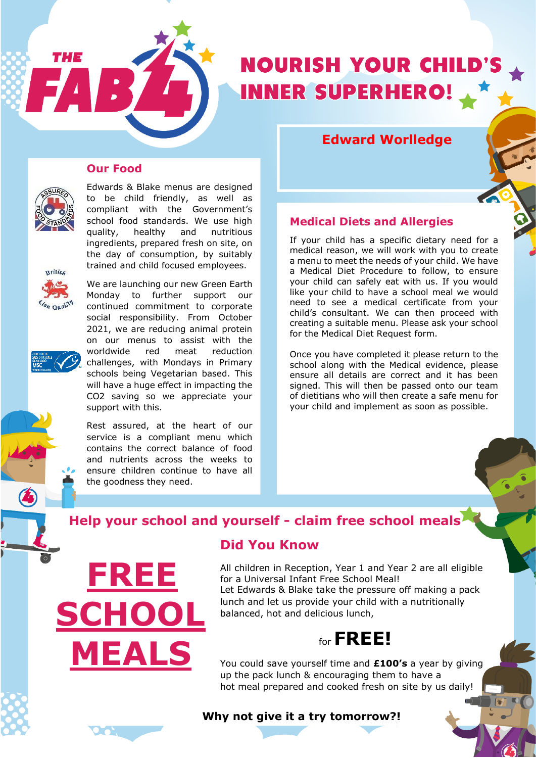

# **Edward Worlledge**

#### **Our Food**



THE

Edwards & Blake menus are designed to be child friendly, as well as compliant with the Government's school food standards. We use high quality, healthy and nutritious ingredients, prepared fresh on site, on the day of consumption, by suitably trained and child focused employees.



We are launching our new Green Earth Monday to further support our continued commitment to corporate social responsibility. From October 2021, we are reducing animal protein on our menus to assist with the worldwide red meat reduction challenges, with Mondays in Primary schools being Vegetarian based. This will have a huge effect in impacting the CO2 saving so we appreciate your support with this.

Rest assured, at the heart of our service is a compliant menu which contains the correct balance of food and nutrients across the weeks to ensure children continue to have all the goodness they need.

**FREE**

**MEALS**

**SCHOOL**

### **Medical Diets and Allergies**

If your child has a specific dietary need for a medical reason, we will work with you to create a menu to meet the needs of your child. We have a Medical Diet Procedure to follow, to ensure your child can safely eat with us. If you would like your child to have a school meal we would need to see a medical certificate from your child's consultant. We can then proceed with creating a suitable menu. Please ask your school for the Medical Diet Request form.

Once you have completed it please return to the school along with the Medical evidence, please ensure all details are correct and it has been signed. This will then be passed onto our team of dietitians who will then create a safe menu for your child and implement as soon as possible.

# **Help your school and yourself - claim free school meals**

## **Did You Know**

All children in Reception, Year 1 and Year 2 are all eligible for a Universal Infant Free School Meal! Let Edwards & Blake take the pressure off making a pack lunch and let us provide your child with a nutritionally balanced, hot and delicious lunch,



You could save yourself time and **£100's** a year by giving up the pack lunch & encouraging them to have a hot meal prepared and cooked fresh on site by us daily!

### **Why not give it a try tomorrow?!**